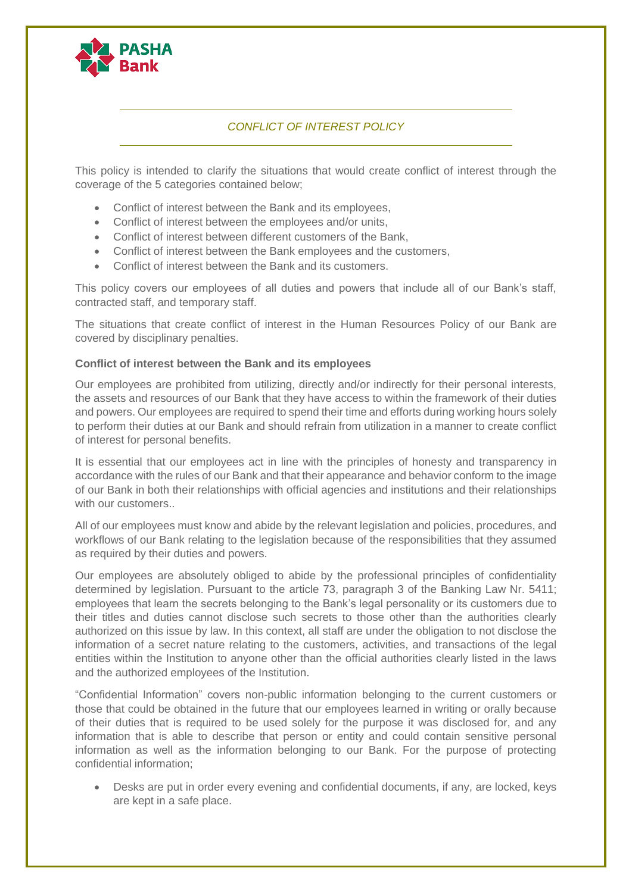

# *CONFLICT OF INTEREST POLICY*

This policy is intended to clarify the situations that would create conflict of interest through the coverage of the 5 categories contained below;

- Conflict of interest between the Bank and its employees,
- Conflict of interest between the employees and/or units,
- Conflict of interest between different customers of the Bank,
- Conflict of interest between the Bank employees and the customers,
- Conflict of interest between the Bank and its customers.

This policy covers our employees of all duties and powers that include all of our Bank's staff, contracted staff, and temporary staff.

The situations that create conflict of interest in the Human Resources Policy of our Bank are covered by disciplinary penalties.

### **Conflict of interest between the Bank and its employees**

Our employees are prohibited from utilizing, directly and/or indirectly for their personal interests, the assets and resources of our Bank that they have access to within the framework of their duties and powers. Our employees are required to spend their time and efforts during working hours solely to perform their duties at our Bank and should refrain from utilization in a manner to create conflict of interest for personal benefits.

It is essential that our employees act in line with the principles of honesty and transparency in accordance with the rules of our Bank and that their appearance and behavior conform to the image of our Bank in both their relationships with official agencies and institutions and their relationships with our customers..

All of our employees must know and abide by the relevant legislation and policies, procedures, and workflows of our Bank relating to the legislation because of the responsibilities that they assumed as required by their duties and powers.

Our employees are absolutely obliged to abide by the professional principles of confidentiality determined by legislation. Pursuant to the article 73, paragraph 3 of the Banking Law Nr. 5411; employees that learn the secrets belonging to the Bank's legal personality or its customers due to their titles and duties cannot disclose such secrets to those other than the authorities clearly authorized on this issue by law. In this context, all staff are under the obligation to not disclose the information of a secret nature relating to the customers, activities, and transactions of the legal entities within the Institution to anyone other than the official authorities clearly listed in the laws and the authorized employees of the Institution.

"Confidential Information" covers non-public information belonging to the current customers or those that could be obtained in the future that our employees learned in writing or orally because of their duties that is required to be used solely for the purpose it was disclosed for, and any information that is able to describe that person or entity and could contain sensitive personal information as well as the information belonging to our Bank. For the purpose of protecting confidential information;

 Desks are put in order every evening and confidential documents, if any, are locked, keys are kept in a safe place.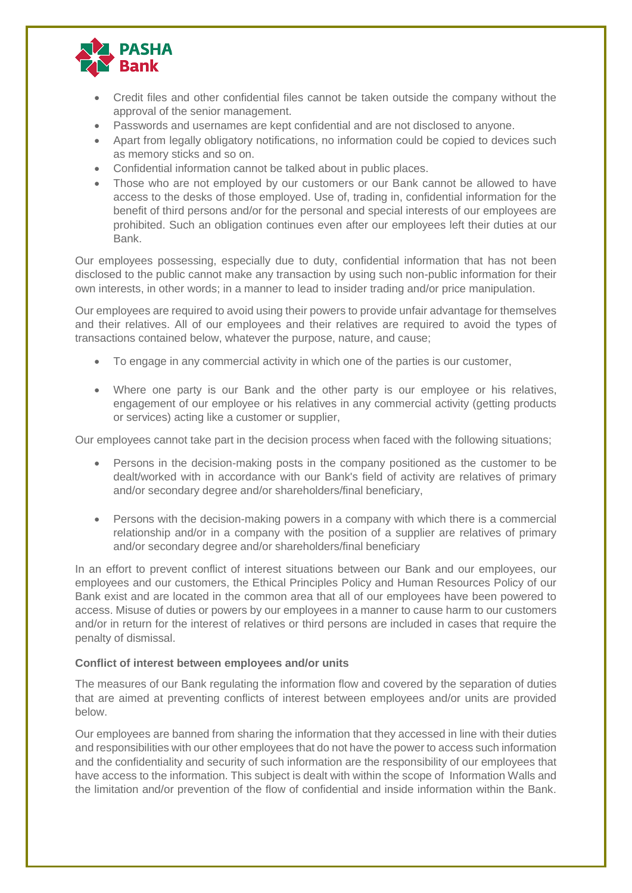

- Credit files and other confidential files cannot be taken outside the company without the approval of the senior management.
- Passwords and usernames are kept confidential and are not disclosed to anyone.
- Apart from legally obligatory notifications, no information could be copied to devices such as memory sticks and so on.
- Confidential information cannot be talked about in public places.
- Those who are not employed by our customers or our Bank cannot be allowed to have access to the desks of those employed. Use of, trading in, confidential information for the benefit of third persons and/or for the personal and special interests of our employees are prohibited. Such an obligation continues even after our employees left their duties at our Bank.

Our employees possessing, especially due to duty, confidential information that has not been disclosed to the public cannot make any transaction by using such non-public information for their own interests, in other words; in a manner to lead to insider trading and/or price manipulation.

Our employees are required to avoid using their powers to provide unfair advantage for themselves and their relatives. All of our employees and their relatives are required to avoid the types of transactions contained below, whatever the purpose, nature, and cause;

- To engage in any commercial activity in which one of the parties is our customer,
- Where one party is our Bank and the other party is our employee or his relatives, engagement of our employee or his relatives in any commercial activity (getting products or services) acting like a customer or supplier,

Our employees cannot take part in the decision process when faced with the following situations;

- Persons in the decision-making posts in the company positioned as the customer to be dealt/worked with in accordance with our Bank's field of activity are relatives of primary and/or secondary degree and/or shareholders/final beneficiary,
- Persons with the decision-making powers in a company with which there is a commercial relationship and/or in a company with the position of a supplier are relatives of primary and/or secondary degree and/or shareholders/final beneficiary

In an effort to prevent conflict of interest situations between our Bank and our employees, our employees and our customers, the Ethical Principles Policy and Human Resources Policy of our Bank exist and are located in the common area that all of our employees have been powered to access. Misuse of duties or powers by our employees in a manner to cause harm to our customers and/or in return for the interest of relatives or third persons are included in cases that require the penalty of dismissal.

### **Conflict of interest between employees and/or units**

The measures of our Bank regulating the information flow and covered by the separation of duties that are aimed at preventing conflicts of interest between employees and/or units are provided below.

Our employees are banned from sharing the information that they accessed in line with their duties and responsibilities with our other employees that do not have the power to access such information and the confidentiality and security of such information are the responsibility of our employees that have access to the information. This subject is dealt with within the scope of Information Walls and the limitation and/or prevention of the flow of confidential and inside information within the Bank.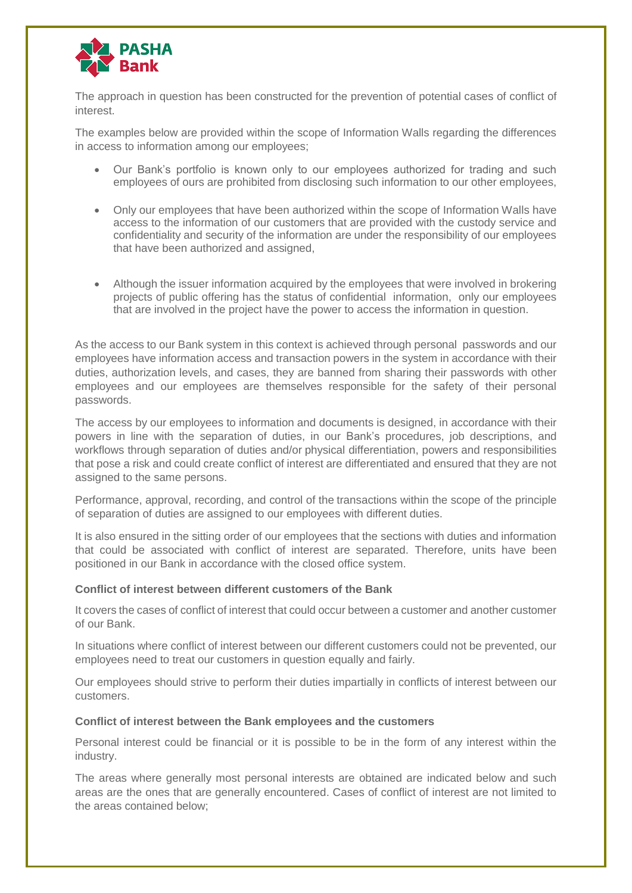

The approach in question has been constructed for the prevention of potential cases of conflict of interest.

The examples below are provided within the scope of Information Walls regarding the differences in access to information among our employees;

- Our Bank's portfolio is known only to our employees authorized for trading and such employees of ours are prohibited from disclosing such information to our other employees,
- Only our employees that have been authorized within the scope of Information Walls have access to the information of our customers that are provided with the custody service and confidentiality and security of the information are under the responsibility of our employees that have been authorized and assigned,
- Although the issuer information acquired by the employees that were involved in brokering projects of public offering has the status of confidential information, only our employees that are involved in the project have the power to access the information in question.

As the access to our Bank system in this context is achieved through personal passwords and our employees have information access and transaction powers in the system in accordance with their duties, authorization levels, and cases, they are banned from sharing their passwords with other employees and our employees are themselves responsible for the safety of their personal passwords.

The access by our employees to information and documents is designed, in accordance with their powers in line with the separation of duties, in our Bank's procedures, job descriptions, and workflows through separation of duties and/or physical differentiation, powers and responsibilities that pose a risk and could create conflict of interest are differentiated and ensured that they are not assigned to the same persons.

Performance, approval, recording, and control of the transactions within the scope of the principle of separation of duties are assigned to our employees with different duties.

It is also ensured in the sitting order of our employees that the sections with duties and information that could be associated with conflict of interest are separated. Therefore, units have been positioned in our Bank in accordance with the closed office system.

### **Conflict of interest between different customers of the Bank**

It covers the cases of conflict of interest that could occur between a customer and another customer of our Bank.

In situations where conflict of interest between our different customers could not be prevented, our employees need to treat our customers in question equally and fairly.

Our employees should strive to perform their duties impartially in conflicts of interest between our customers.

#### **Conflict of interest between the Bank employees and the customers**

Personal interest could be financial or it is possible to be in the form of any interest within the industry.

The areas where generally most personal interests are obtained are indicated below and such areas are the ones that are generally encountered. Cases of conflict of interest are not limited to the areas contained below;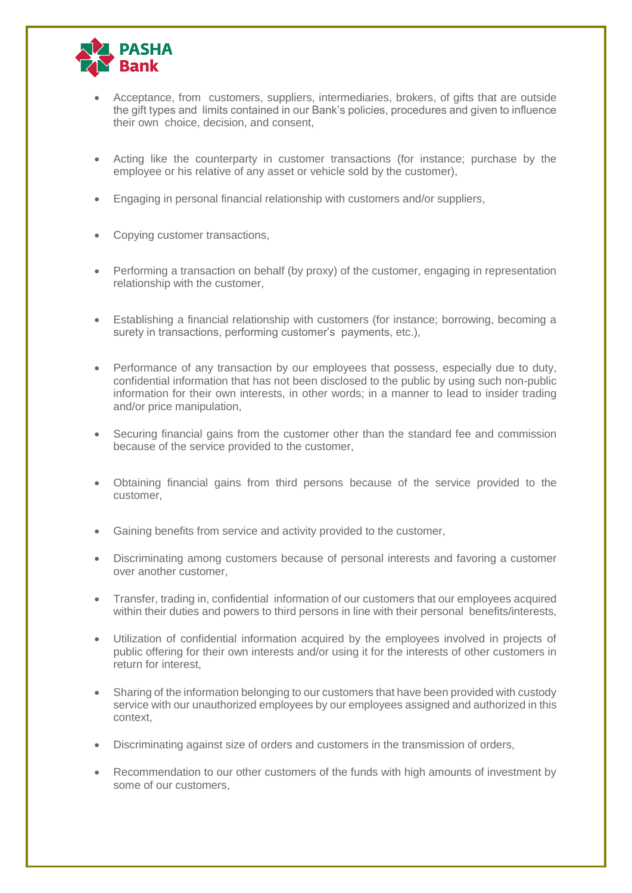

- Acceptance, from customers, suppliers, intermediaries, brokers, of gifts that are outside the gift types and limits contained in our Bank's policies, procedures and given to influence their own choice, decision, and consent,
- Acting like the counterparty in customer transactions (for instance; purchase by the employee or his relative of any asset or vehicle sold by the customer),
- Engaging in personal financial relationship with customers and/or suppliers,
- Copying customer transactions,
- Performing a transaction on behalf (by proxy) of the customer, engaging in representation relationship with the customer,
- Establishing a financial relationship with customers (for instance; borrowing, becoming a surety in transactions, performing customer's payments, etc.),
- Performance of any transaction by our employees that possess, especially due to duty, confidential information that has not been disclosed to the public by using such non-public information for their own interests, in other words; in a manner to lead to insider trading and/or price manipulation,
- Securing financial gains from the customer other than the standard fee and commission because of the service provided to the customer,
- Obtaining financial gains from third persons because of the service provided to the customer,
- Gaining benefits from service and activity provided to the customer,
- Discriminating among customers because of personal interests and favoring a customer over another customer,
- Transfer, trading in, confidential information of our customers that our employees acquired within their duties and powers to third persons in line with their personal benefits/interests,
- Utilization of confidential information acquired by the employees involved in projects of public offering for their own interests and/or using it for the interests of other customers in return for interest,
- Sharing of the information belonging to our customers that have been provided with custody service with our unauthorized employees by our employees assigned and authorized in this context,
- Discriminating against size of orders and customers in the transmission of orders,
- Recommendation to our other customers of the funds with high amounts of investment by some of our customers,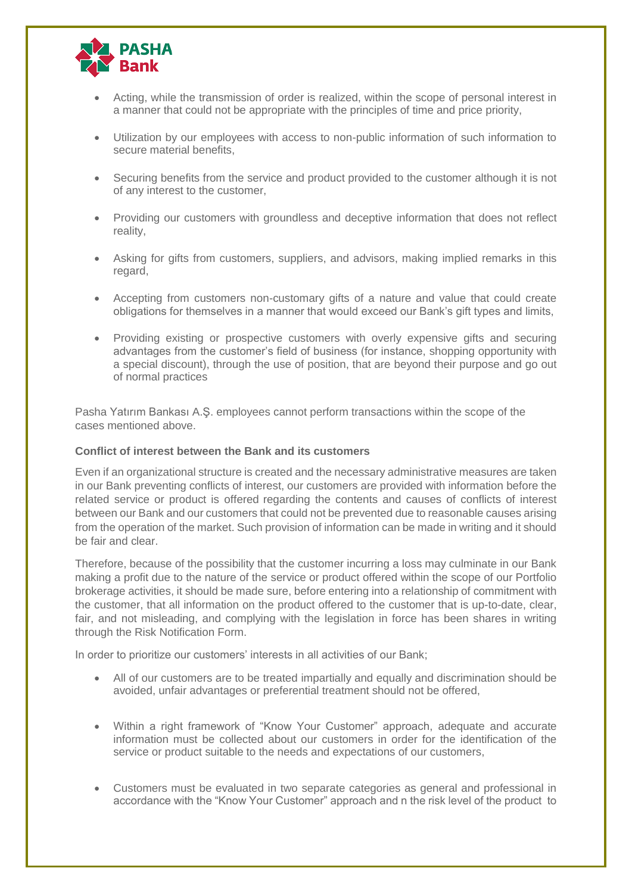

- Acting, while the transmission of order is realized, within the scope of personal interest in a manner that could not be appropriate with the principles of time and price priority,
- Utilization by our employees with access to non-public information of such information to secure material benefits,
- Securing benefits from the service and product provided to the customer although it is not of any interest to the customer,
- Providing our customers with groundless and deceptive information that does not reflect reality,
- Asking for gifts from customers, suppliers, and advisors, making implied remarks in this regard,
- Accepting from customers non-customary gifts of a nature and value that could create obligations for themselves in a manner that would exceed our Bank's gift types and limits,
- Providing existing or prospective customers with overly expensive gifts and securing advantages from the customer's field of business (for instance, shopping opportunity with a special discount), through the use of position, that are beyond their purpose and go out of normal practices

Pasha Yatırım Bankası A.Ş. employees cannot perform transactions within the scope of the cases mentioned above.

#### **Conflict of interest between the Bank and its customers**

Even if an organizational structure is created and the necessary administrative measures are taken in our Bank preventing conflicts of interest, our customers are provided with information before the related service or product is offered regarding the contents and causes of conflicts of interest between our Bank and our customers that could not be prevented due to reasonable causes arising from the operation of the market. Such provision of information can be made in writing and it should be fair and clear.

Therefore, because of the possibility that the customer incurring a loss may culminate in our Bank making a profit due to the nature of the service or product offered within the scope of our Portfolio brokerage activities, it should be made sure, before entering into a relationship of commitment with the customer, that all information on the product offered to the customer that is up-to-date, clear, fair, and not misleading, and complying with the legislation in force has been shares in writing through the Risk Notification Form.

In order to prioritize our customers' interests in all activities of our Bank;

- All of our customers are to be treated impartially and equally and discrimination should be avoided, unfair advantages or preferential treatment should not be offered,
- Within a right framework of "Know Your Customer" approach, adequate and accurate information must be collected about our customers in order for the identification of the service or product suitable to the needs and expectations of our customers,
- Customers must be evaluated in two separate categories as general and professional in accordance with the "Know Your Customer" approach and n the risk level of the product to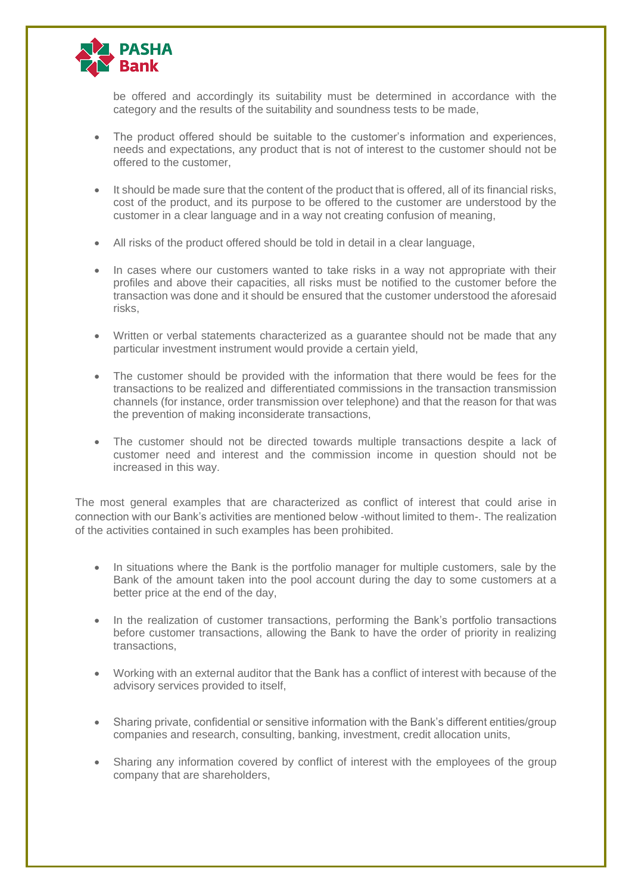

be offered and accordingly its suitability must be determined in accordance with the category and the results of the suitability and soundness tests to be made,

- The product offered should be suitable to the customer's information and experiences, needs and expectations, any product that is not of interest to the customer should not be offered to the customer,
- It should be made sure that the content of the product that is offered, all of its financial risks, cost of the product, and its purpose to be offered to the customer are understood by the customer in a clear language and in a way not creating confusion of meaning,
- All risks of the product offered should be told in detail in a clear language,
- In cases where our customers wanted to take risks in a way not appropriate with their profiles and above their capacities, all risks must be notified to the customer before the transaction was done and it should be ensured that the customer understood the aforesaid risks,
- Written or verbal statements characterized as a guarantee should not be made that any particular investment instrument would provide a certain yield,
- The customer should be provided with the information that there would be fees for the transactions to be realized and differentiated commissions in the transaction transmission channels (for instance, order transmission over telephone) and that the reason for that was the prevention of making inconsiderate transactions,
- The customer should not be directed towards multiple transactions despite a lack of customer need and interest and the commission income in question should not be increased in this way.

The most general examples that are characterized as conflict of interest that could arise in connection with our Bank's activities are mentioned below -without limited to them-. The realization of the activities contained in such examples has been prohibited.

- In situations where the Bank is the portfolio manager for multiple customers, sale by the Bank of the amount taken into the pool account during the day to some customers at a better price at the end of the day,
- In the realization of customer transactions, performing the Bank's portfolio transactions before customer transactions, allowing the Bank to have the order of priority in realizing transactions,
- Working with an external auditor that the Bank has a conflict of interest with because of the advisory services provided to itself,
- Sharing private, confidential or sensitive information with the Bank's different entities/group companies and research, consulting, banking, investment, credit allocation units,
- Sharing any information covered by conflict of interest with the employees of the group company that are shareholders,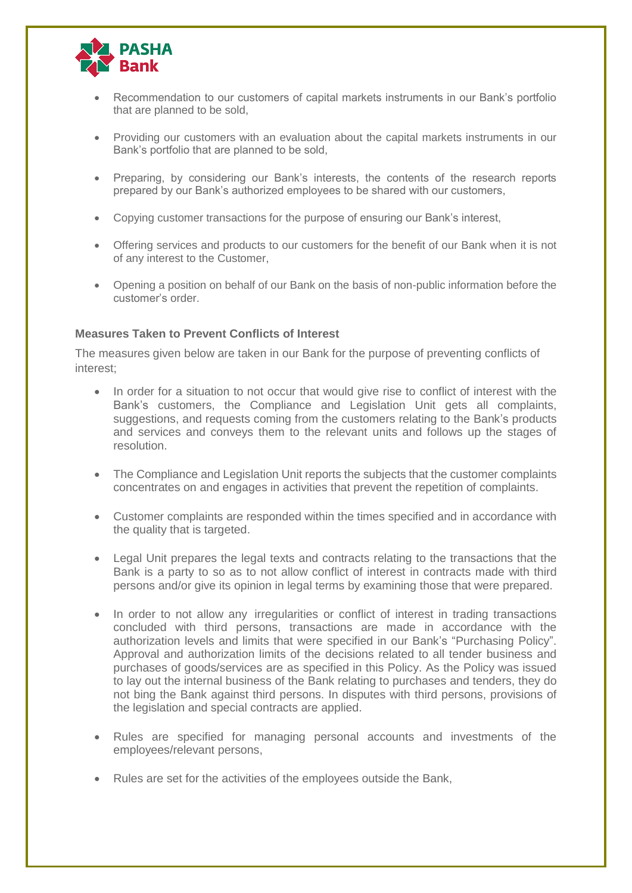

- Recommendation to our customers of capital markets instruments in our Bank's portfolio that are planned to be sold,
- Providing our customers with an evaluation about the capital markets instruments in our Bank's portfolio that are planned to be sold,
- Preparing, by considering our Bank's interests, the contents of the research reports prepared by our Bank's authorized employees to be shared with our customers,
- Copying customer transactions for the purpose of ensuring our Bank's interest,
- Offering services and products to our customers for the benefit of our Bank when it is not of any interest to the Customer,
- Opening a position on behalf of our Bank on the basis of non-public information before the customer's order.

## **Measures Taken to Prevent Conflicts of Interest**

The measures given below are taken in our Bank for the purpose of preventing conflicts of interest;

- In order for a situation to not occur that would give rise to conflict of interest with the Bank's customers, the Compliance and Legislation Unit gets all complaints, suggestions, and requests coming from the customers relating to the Bank's products and services and conveys them to the relevant units and follows up the stages of resolution.
- The Compliance and Legislation Unit reports the subjects that the customer complaints concentrates on and engages in activities that prevent the repetition of complaints.
- Customer complaints are responded within the times specified and in accordance with the quality that is targeted.
- Legal Unit prepares the legal texts and contracts relating to the transactions that the Bank is a party to so as to not allow conflict of interest in contracts made with third persons and/or give its opinion in legal terms by examining those that were prepared.
- In order to not allow any irregularities or conflict of interest in trading transactions concluded with third persons, transactions are made in accordance with the authorization levels and limits that were specified in our Bank's "Purchasing Policy". Approval and authorization limits of the decisions related to all tender business and purchases of goods/services are as specified in this Policy. As the Policy was issued to lay out the internal business of the Bank relating to purchases and tenders, they do not bing the Bank against third persons. In disputes with third persons, provisions of the legislation and special contracts are applied.
- Rules are specified for managing personal accounts and investments of the employees/relevant persons,
- Rules are set for the activities of the employees outside the Bank,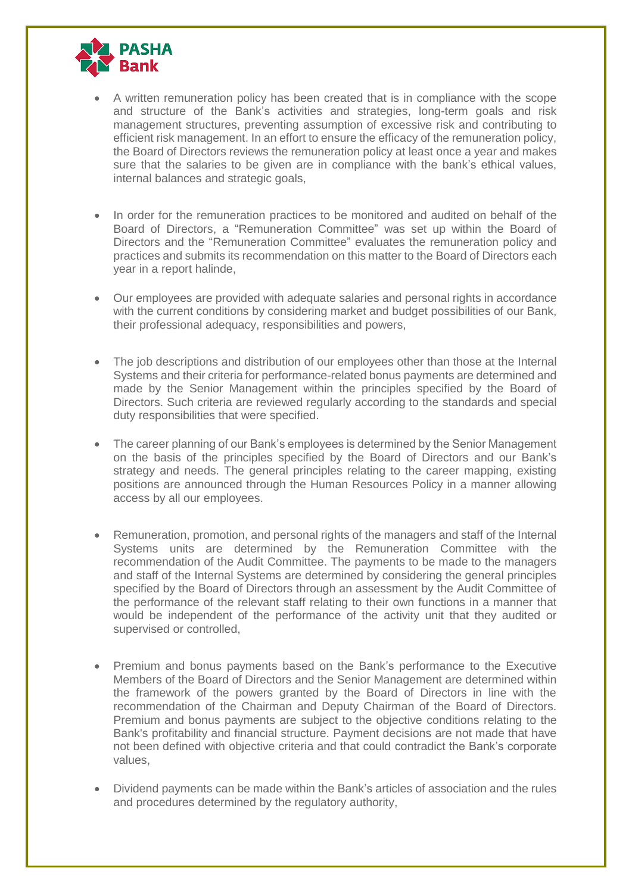

- A written remuneration policy has been created that is in compliance with the scope and structure of the Bank's activities and strategies, long-term goals and risk management structures, preventing assumption of excessive risk and contributing to efficient risk management. In an effort to ensure the efficacy of the remuneration policy, the Board of Directors reviews the remuneration policy at least once a year and makes sure that the salaries to be given are in compliance with the bank's ethical values, internal balances and strategic goals,
- In order for the remuneration practices to be monitored and audited on behalf of the Board of Directors, a "Remuneration Committee" was set up within the Board of Directors and the "Remuneration Committee" evaluates the remuneration policy and practices and submits its recommendation on this matter to the Board of Directors each year in a report halinde,
- Our employees are provided with adequate salaries and personal rights in accordance with the current conditions by considering market and budget possibilities of our Bank, their professional adequacy, responsibilities and powers,
- The job descriptions and distribution of our employees other than those at the Internal Systems and their criteria for performance-related bonus payments are determined and made by the Senior Management within the principles specified by the Board of Directors. Such criteria are reviewed regularly according to the standards and special duty responsibilities that were specified.
- The career planning of our Bank's employees is determined by the Senior Management on the basis of the principles specified by the Board of Directors and our Bank's strategy and needs. The general principles relating to the career mapping, existing positions are announced through the Human Resources Policy in a manner allowing access by all our employees.
- Remuneration, promotion, and personal rights of the managers and staff of the Internal Systems units are determined by the Remuneration Committee with the recommendation of the Audit Committee. The payments to be made to the managers and staff of the Internal Systems are determined by considering the general principles specified by the Board of Directors through an assessment by the Audit Committee of the performance of the relevant staff relating to their own functions in a manner that would be independent of the performance of the activity unit that they audited or supervised or controlled,
- Premium and bonus payments based on the Bank's performance to the Executive Members of the Board of Directors and the Senior Management are determined within the framework of the powers granted by the Board of Directors in line with the recommendation of the Chairman and Deputy Chairman of the Board of Directors. Premium and bonus payments are subject to the objective conditions relating to the Bank's profitability and financial structure. Payment decisions are not made that have not been defined with objective criteria and that could contradict the Bank's corporate values,
- Dividend payments can be made within the Bank's articles of association and the rules and procedures determined by the regulatory authority,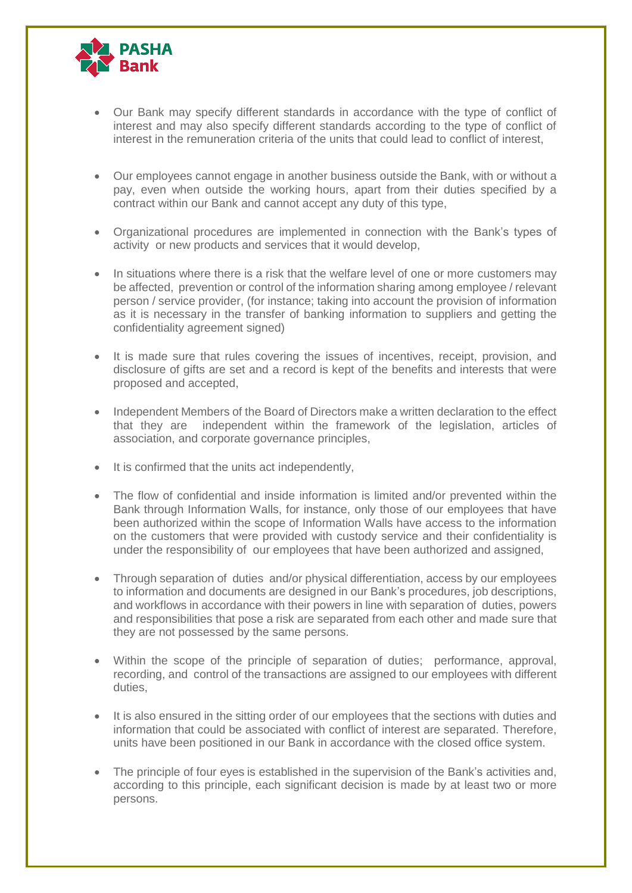

- Our Bank may specify different standards in accordance with the type of conflict of interest and may also specify different standards according to the type of conflict of interest in the remuneration criteria of the units that could lead to conflict of interest,
- Our employees cannot engage in another business outside the Bank, with or without a pay, even when outside the working hours, apart from their duties specified by a contract within our Bank and cannot accept any duty of this type,
- Organizational procedures are implemented in connection with the Bank's types of activity or new products and services that it would develop,
- In situations where there is a risk that the welfare level of one or more customers may be affected, prevention or control of the information sharing among employee / relevant person / service provider, (for instance; taking into account the provision of information as it is necessary in the transfer of banking information to suppliers and getting the confidentiality agreement signed)
- It is made sure that rules covering the issues of incentives, receipt, provision, and disclosure of gifts are set and a record is kept of the benefits and interests that were proposed and accepted,
- Independent Members of the Board of Directors make a written declaration to the effect that they are independent within the framework of the legislation, articles of association, and corporate governance principles,
- It is confirmed that the units act independently,
- The flow of confidential and inside information is limited and/or prevented within the Bank through Information Walls, for instance, only those of our employees that have been authorized within the scope of Information Walls have access to the information on the customers that were provided with custody service and their confidentiality is under the responsibility of our employees that have been authorized and assigned,
- Through separation of duties and/or physical differentiation, access by our employees to information and documents are designed in our Bank's procedures, job descriptions, and workflows in accordance with their powers in line with separation of duties, powers and responsibilities that pose a risk are separated from each other and made sure that they are not possessed by the same persons.
- Within the scope of the principle of separation of duties; performance, approval, recording, and control of the transactions are assigned to our employees with different duties,
- It is also ensured in the sitting order of our employees that the sections with duties and information that could be associated with conflict of interest are separated. Therefore, units have been positioned in our Bank in accordance with the closed office system.
- The principle of four eyes is established in the supervision of the Bank's activities and, according to this principle, each significant decision is made by at least two or more persons.